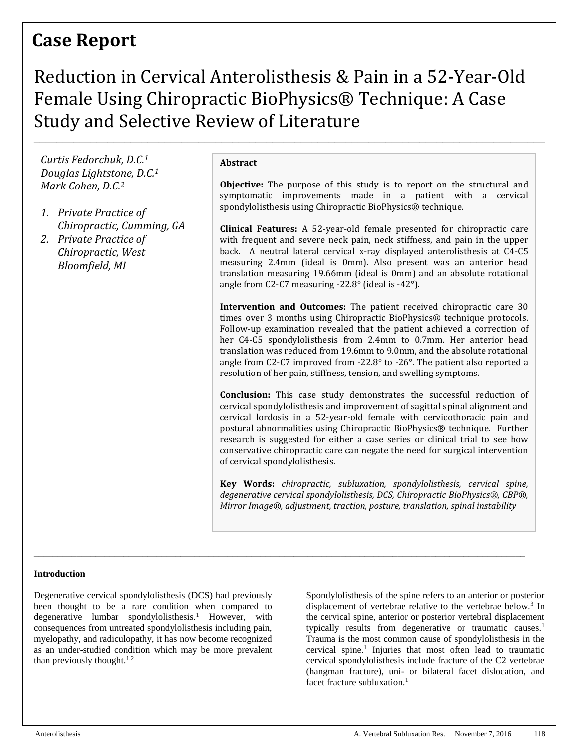## **Case Report**

# Reduction in Cervical Anterolisthesis & Pain in a 52-Year-Old Female Using Chiropractic BioPhysics® Technique: A Case Study and Selective Review of Literature

\_\_\_\_\_\_\_\_\_\_\_\_\_\_\_\_\_\_\_\_\_\_\_\_\_\_\_\_\_\_\_\_\_\_\_\_\_\_\_\_\_\_\_\_\_\_\_\_\_\_\_\_\_\_\_\_\_\_\_\_\_\_\_\_\_\_\_\_\_\_\_\_\_\_\_\_\_\_\_\_\_\_\_\_\_\_\_\_\_\_\_\_\_\_\_\_\_\_\_\_\_\_\_\_

\_\_\_\_\_\_\_\_\_\_\_\_\_\_\_\_\_\_\_\_\_\_\_\_\_\_\_\_\_\_\_\_\_\_\_\_\_\_\_\_\_\_\_\_\_\_\_\_\_\_\_\_\_\_\_\_\_\_\_\_\_\_\_\_\_\_\_\_\_\_\_\_\_\_\_\_\_\_\_\_\_\_\_\_\_\_\_\_\_\_

*Curtis Fedorchuk, D.C. 1 Douglas Lightstone, D.C.<sup>1</sup> Mark Cohen, D.C.<sup>2</sup>*

- *1. Private Practice of Chiropractic, Cumming, GA*
- *2. Private Practice of Chiropractic, West Bloomfield, MI*

#### **Abstract**

**Objective:** The purpose of this study is to report on the structural and symptomatic improvements made in a patient with a cervical spondylolisthesis using Chiropractic BioPhysics® technique.

**Clinical Features:** A 52-year-old female presented for chiropractic care with frequent and severe neck pain, neck stiffness, and pain in the upper back. A neutral lateral cervical x-ray displayed anterolisthesis at C4-C5 measuring 2.4mm (ideal is 0mm). Also present was an anterior head translation measuring 19.66mm (ideal is 0mm) and an absolute rotational angle from C2-C7 measuring -22.8° (ideal is -42°).

**Intervention and Outcomes:** The patient received chiropractic care 30 times over 3 months using Chiropractic BioPhysics® technique protocols. Follow-up examination revealed that the patient achieved a correction of her C4-C5 spondylolisthesis from 2.4mm to 0.7mm. Her anterior head translation was reduced from 19.6mm to 9.0mm, and the absolute rotational angle from C2-C7 improved from -22.8° to -26°. The patient also reported a resolution of her pain, stiffness, tension, and swelling symptoms.

**Conclusion:** This case study demonstrates the successful reduction of cervical spondylolisthesis and improvement of sagittal spinal alignment and cervical lordosis in a 52-year-old female with cervicothoracic pain and postural abnormalities using Chiropractic BioPhysics® technique. Further research is suggested for either a case series or clinical trial to see how conservative chiropractic care can negate the need for surgical intervention of cervical spondylolisthesis.

**Key Words:** *chiropractic, subluxation, spondylolisthesis, cervical spine, degenerative cervical spondylolisthesis, DCS, Chiropractic BioPhysics®, CBP®, Mirror Image®, adjustment, traction, posture, translation, spinal instability*

#### **Introduction**

Degenerative cervical spondylolisthesis (DCS) had previously been thought to be a rare condition when compared to degenerative lumbar spondylolisthesis.<sup>1</sup> However, with consequences from untreated spondylolisthesis including pain, myelopathy, and radiculopathy, it has now become recognized as an under-studied condition which may be more prevalent than previously thought. $1,2$ 

Spondylolisthesis of the spine refers to an anterior or posterior displacement of vertebrae relative to the vertebrae below.<sup>3</sup> In the cervical spine, anterior or posterior vertebral displacement typically results from degenerative or traumatic causes.<sup>1</sup> Trauma is the most common cause of spondylolisthesis in the cervical spine.<sup>1</sup> Injuries that most often lead to traumatic cervical spondylolisthesis include fracture of the C2 vertebrae (hangman fracture), uni- or bilateral facet dislocation, and facet fracture subluxation.<sup>1</sup>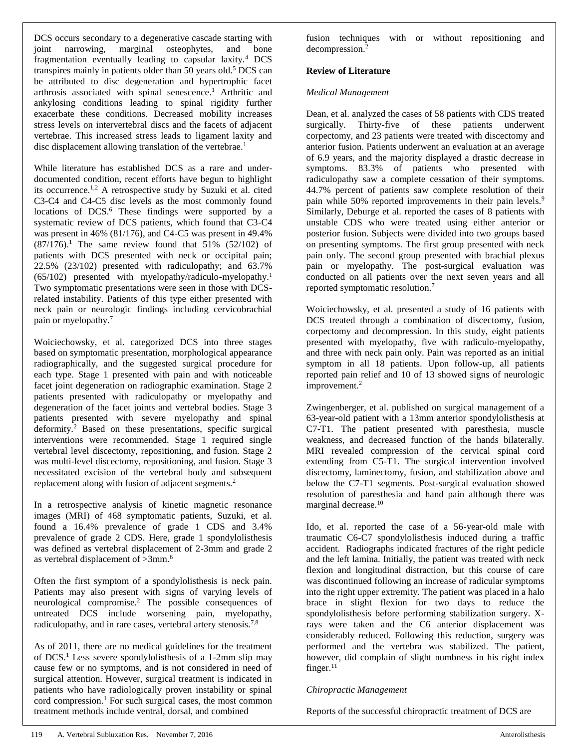DCS occurs secondary to a degenerative cascade starting with joint narrowing, marginal osteophytes, and bone fragmentation eventually leading to capsular laxity.<sup>4</sup> DCS transpires mainly in patients older than 50 years old.<sup>5</sup> DCS can be attributed to disc degeneration and hypertrophic facet arthrosis associated with spinal senescence.<sup>1</sup> Arthritic and ankylosing conditions leading to spinal rigidity further exacerbate these conditions. Decreased mobility increases stress levels on intervertebral discs and the facets of adjacent vertebrae. This increased stress leads to ligament laxity and disc displacement allowing translation of the vertebrae.<sup>1</sup>

While literature has established DCS as a rare and underdocumented condition, recent efforts have begun to highlight its occurrence.1,2 A retrospective study by Suzuki et al. cited C3-C4 and C4-C5 disc levels as the most commonly found locations of DCS.<sup>6</sup> These findings were supported by a systematic review of DCS patients, which found that C3-C4 was present in 46% (81/176), and C4-C5 was present in 49.4%  $(87/176).$ <sup>1</sup> The same review found that 51% (52/102) of patients with DCS presented with neck or occipital pain; 22.5% (23/102) presented with radiculopathy; and 63.7%  $(65/102)$  presented with myelopathy/radiculo-myelopathy.<sup>1</sup> Two symptomatic presentations were seen in those with DCSrelated instability. Patients of this type either presented with neck pain or neurologic findings including cervicobrachial pain or myelopathy.<sup>7</sup>

Woiciechowsky, et al. categorized DCS into three stages based on symptomatic presentation, morphological appearance radiographically, and the suggested surgical procedure for each type. Stage 1 presented with pain and with noticeable facet joint degeneration on radiographic examination. Stage 2 patients presented with radiculopathy or myelopathy and degeneration of the facet joints and vertebral bodies. Stage 3 patients presented with severe myelopathy and spinal deformity.<sup>2</sup> Based on these presentations, specific surgical interventions were recommended. Stage 1 required single vertebral level discectomy, repositioning, and fusion. Stage 2 was multi-level discectomy, repositioning, and fusion. Stage 3 necessitated excision of the vertebral body and subsequent replacement along with fusion of adjacent segments.<sup>2</sup>

In a retrospective analysis of kinetic magnetic resonance images (MRI) of 468 symptomatic patients, Suzuki, et al. found a 16.4% prevalence of grade 1 CDS and 3.4% prevalence of grade 2 CDS. Here, grade 1 spondylolisthesis was defined as vertebral displacement of 2-3mm and grade 2 as vertebral displacement of >3mm.<sup>6</sup>

Often the first symptom of a spondylolisthesis is neck pain. Patients may also present with signs of varying levels of neurological compromise.<sup>2</sup> The possible consequences of untreated DCS include worsening pain, myelopathy, radiculopathy, and in rare cases, vertebral artery stenosis.7,8

As of 2011, there are no medical guidelines for the treatment of DCS.<sup>1</sup> Less severe spondylolisthesis of a 1-2mm slip may cause few or no symptoms, and is not considered in need of surgical attention. However, surgical treatment is indicated in patients who have radiologically proven instability or spinal cord compression.<sup>1</sup> For such surgical cases, the most common treatment methods include ventral, dorsal, and combined

fusion techniques with or without repositioning and decompression.<sup>2</sup>

#### **Review of Literature**

#### *Medical Management*

Dean, et al. analyzed the cases of 58 patients with CDS treated surgically. Thirty-five of these patients underwent corpectomy, and 23 patients were treated with discectomy and anterior fusion. Patients underwent an evaluation at an average of 6.9 years, and the majority displayed a drastic decrease in symptoms. 83.3% of patients who presented with radiculopathy saw a complete cessation of their symptoms. 44.7% percent of patients saw complete resolution of their pain while 50% reported improvements in their pain levels.<sup>9</sup> Similarly, Deburge et al. reported the cases of 8 patients with unstable CDS who were treated using either anterior or posterior fusion. Subjects were divided into two groups based on presenting symptoms. The first group presented with neck pain only. The second group presented with brachial plexus pain or myelopathy. The post-surgical evaluation was conducted on all patients over the next seven years and all reported symptomatic resolution.<sup>7</sup>

Woiciechowsky, et al. presented a study of 16 patients with DCS treated through a combination of discectomy, fusion, corpectomy and decompression. In this study, eight patients presented with myelopathy, five with radiculo-myelopathy, and three with neck pain only. Pain was reported as an initial symptom in all 18 patients. Upon follow-up, all patients reported pain relief and 10 of 13 showed signs of neurologic improvement.<sup>2</sup>

Zwingenberger, et al. published on surgical management of a 63-year-old patient with a 13mm anterior spondylolisthesis at C7-T1. The patient presented with paresthesia, muscle weakness, and decreased function of the hands bilaterally. MRI revealed compression of the cervical spinal cord extending from C5-T1. The surgical intervention involved discectomy, laminectomy, fusion, and stabilization above and below the C7-T1 segments. Post-surgical evaluation showed resolution of paresthesia and hand pain although there was marginal decrease.<sup>10</sup>

Ido, et al. reported the case of a 56-year-old male with traumatic C6-C7 spondylolisthesis induced during a traffic accident. Radiographs indicated fractures of the right pedicle and the left lamina. Initially, the patient was treated with neck flexion and longitudinal distraction, but this course of care was discontinued following an increase of radicular symptoms into the right upper extremity. The patient was placed in a halo brace in slight flexion for two days to reduce the spondylolisthesis before performing stabilization surgery. Xrays were taken and the C6 anterior displacement was considerably reduced. Following this reduction, surgery was performed and the vertebra was stabilized. The patient, however, did complain of slight numbness in his right index finger. $11$ 

#### *Chiropractic Management*

Reports of the successful chiropractic treatment of DCS are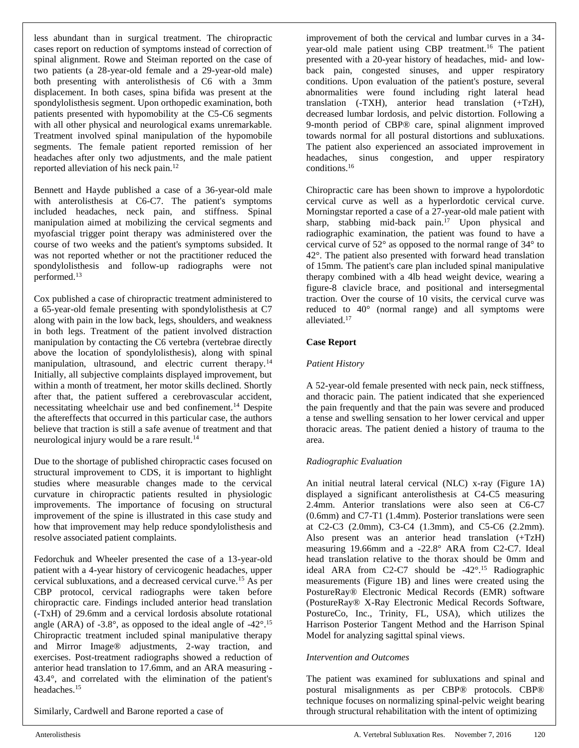less abundant than in surgical treatment. The chiropractic cases report on reduction of symptoms instead of correction of spinal alignment. Rowe and Steiman reported on the case of two patients (a 28-year-old female and a 29-year-old male) both presenting with anterolisthesis of C6 with a 3mm displacement. In both cases, spina bifida was present at the spondylolisthesis segment. Upon orthopedic examination, both patients presented with hypomobility at the C5-C6 segments with all other physical and neurological exams unremarkable. Treatment involved spinal manipulation of the hypomobile segments. The female patient reported remission of her headaches after only two adjustments, and the male patient reported alleviation of his neck pain.<sup>12</sup>

Bennett and Hayde published a case of a 36-year-old male with anterolisthesis at C6-C7. The patient's symptoms included headaches, neck pain, and stiffness. Spinal manipulation aimed at mobilizing the cervical segments and myofascial trigger point therapy was administered over the course of two weeks and the patient's symptoms subsided. It was not reported whether or not the practitioner reduced the spondylolisthesis and follow-up radiographs were not performed.<sup>13</sup>

Cox published a case of chiropractic treatment administered to a 65-year-old female presenting with spondylolisthesis at C7 along with pain in the low back, legs, shoulders, and weakness in both legs. Treatment of the patient involved distraction manipulation by contacting the C6 vertebra (vertebrae directly above the location of spondylolisthesis), along with spinal manipulation, ultrasound, and electric current therapy.<sup>14</sup> Initially, all subjective complaints displayed improvement, but within a month of treatment, her motor skills declined. Shortly after that, the patient suffered a cerebrovascular accident, necessitating wheelchair use and bed confinement.<sup>14</sup> Despite the aftereffects that occurred in this particular case, the authors believe that traction is still a safe avenue of treatment and that neurological injury would be a rare result.<sup>14</sup>

Due to the shortage of published chiropractic cases focused on structural improvement to CDS, it is important to highlight studies where measurable changes made to the cervical curvature in chiropractic patients resulted in physiologic improvements. The importance of focusing on structural improvement of the spine is illustrated in this case study and how that improvement may help reduce spondylolisthesis and resolve associated patient complaints.

Fedorchuk and Wheeler presented the case of a 13-year-old patient with a 4-year history of cervicogenic headaches, upper cervical subluxations, and a decreased cervical curve.<sup>15</sup> As per CBP protocol, cervical radiographs were taken before chiropractic care. Findings included anterior head translation (-TxH) of 29.6mm and a cervical lordosis absolute rotational angle (ARA) of -3.8°, as opposed to the ideal angle of -42°.<sup>15</sup> Chiropractic treatment included spinal manipulative therapy and Mirror Image® adjustments, 2-way traction, and exercises. Post-treatment radiographs showed a reduction of anterior head translation to 17.6mm, and an ARA measuring - 43.4°, and correlated with the elimination of the patient's headaches.<sup>15</sup>

Similarly, Cardwell and Barone reported a case of

improvement of both the cervical and lumbar curves in a 34 year-old male patient using CBP treatment.<sup>16</sup> The patient presented with a 20-year history of headaches, mid- and lowback pain, congested sinuses, and upper respiratory conditions. Upon evaluation of the patient's posture, several abnormalities were found including right lateral head translation (-TXH), anterior head translation (+TzH), decreased lumbar lordosis, and pelvic distortion. Following a 9-month period of CBP® care, spinal alignment improved towards normal for all postural distortions and subluxations. The patient also experienced an associated improvement in headaches, sinus congestion, and upper respiratory conditions.<sup>16</sup>

Chiropractic care has been shown to improve a hypolordotic cervical curve as well as a hyperlordotic cervical curve. Morningstar reported a case of a 27-year-old male patient with sharp, stabbing mid-back pain.<sup>17</sup> Upon physical and radiographic examination, the patient was found to have a cervical curve of 52° as opposed to the normal range of 34° to 42°. The patient also presented with forward head translation of 15mm. The patient's care plan included spinal manipulative therapy combined with a 4lb head weight device, wearing a figure-8 clavicle brace, and positional and intersegmental traction. Over the course of 10 visits, the cervical curve was reduced to 40° (normal range) and all symptoms were alleviated.<sup>17</sup>

#### **Case Report**

#### *Patient History*

A 52-year-old female presented with neck pain, neck stiffness, and thoracic pain. The patient indicated that she experienced the pain frequently and that the pain was severe and produced a tense and swelling sensation to her lower cervical and upper thoracic areas. The patient denied a history of trauma to the area.

#### *Radiographic Evaluation*

An initial neutral lateral cervical (NLC) x-ray (Figure 1A) displayed a significant anterolisthesis at C4-C5 measuring 2.4mm. Anterior translations were also seen at C6-C7 (0.6mm) and C7-T1 (1.4mm). Posterior translations were seen at C2-C3 (2.0mm), C3-C4 (1.3mm), and C5-C6 (2.2mm). Also present was an anterior head translation (+TzH) measuring 19.66mm and a -22.8° ARA from C2-C7. Ideal head translation relative to the thorax should be 0mm and ideal ARA from C2-C7 should be -42°.<sup>15</sup> Radiographic measurements (Figure 1B) and lines were created using the PostureRay® Electronic Medical Records (EMR) software (PostureRay® X-Ray Electronic Medical Records Software, PostureCo, Inc., Trinity, FL, USA), which utilizes the Harrison Posterior Tangent Method and the Harrison Spinal Model for analyzing sagittal spinal views.

#### *Intervention and Outcomes*

The patient was examined for subluxations and spinal and postural misalignments as per CBP® protocols. CBP® technique focuses on normalizing spinal-pelvic weight bearing through structural rehabilitation with the intent of optimizing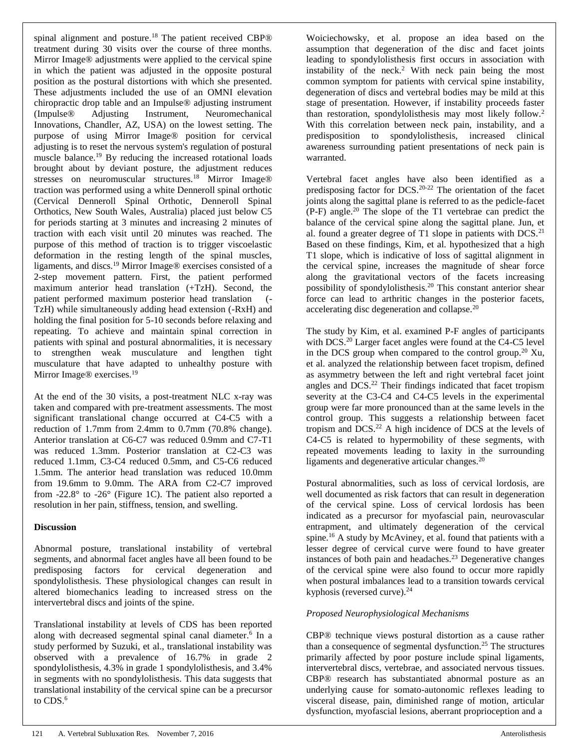spinal alignment and posture.<sup>18</sup> The patient received CBP® treatment during 30 visits over the course of three months. Mirror Image® adjustments were applied to the cervical spine in which the patient was adjusted in the opposite postural position as the postural distortions with which she presented. These adjustments included the use of an OMNI elevation chiropractic drop table and an Impulse® adjusting instrument (Impulse® Adjusting Instrument, Neuromechanical Innovations, Chandler, AZ, USA) on the lowest setting. The purpose of using Mirror Image® position for cervical adjusting is to reset the nervous system's regulation of postural muscle balance.<sup>19</sup> By reducing the increased rotational loads brought about by deviant posture, the adjustment reduces stresses on neuromuscular structures.<sup>18</sup> Mirror Image<sup>®</sup> traction was performed using a white Denneroll spinal orthotic (Cervical Denneroll Spinal Orthotic, Denneroll Spinal Orthotics, New South Wales, Australia) placed just below C5 for periods starting at 3 minutes and increasing 2 minutes of traction with each visit until 20 minutes was reached. The purpose of this method of traction is to trigger viscoelastic deformation in the resting length of the spinal muscles, ligaments, and discs.<sup>19</sup> Mirror Image® exercises consisted of a 2-step movement pattern. First, the patient performed maximum anterior head translation (+TzH). Second, the patient performed maximum posterior head translation (- TzH) while simultaneously adding head extension (-RxH) and holding the final position for 5-10 seconds before relaxing and repeating. To achieve and maintain spinal correction in patients with spinal and postural abnormalities, it is necessary to strengthen weak musculature and lengthen tight musculature that have adapted to unhealthy posture with Mirror Image<sup>®</sup> exercises.<sup>19</sup>

At the end of the 30 visits, a post-treatment NLC x-ray was taken and compared with pre-treatment assessments. The most significant translational change occurred at C4-C5 with a reduction of 1.7mm from 2.4mm to 0.7mm (70.8% change). Anterior translation at C6-C7 was reduced 0.9mm and C7-T1 was reduced 1.3mm. Posterior translation at C2-C3 was reduced 1.1mm, C3-C4 reduced 0.5mm, and C5-C6 reduced 1.5mm. The anterior head translation was reduced 10.0mm from 19.6mm to 9.0mm. The ARA from C2-C7 improved from -22.8° to -26° (Figure 1C). The patient also reported a resolution in her pain, stiffness, tension, and swelling.

#### **Discussion**

Abnormal posture, translational instability of vertebral segments, and abnormal facet angles have all been found to be predisposing factors for cervical degeneration and spondylolisthesis. These physiological changes can result in altered biomechanics leading to increased stress on the intervertebral discs and joints of the spine.

Translational instability at levels of CDS has been reported along with decreased segmental spinal canal diameter.<sup>6</sup> In a study performed by Suzuki, et al., translational instability was observed with a prevalence of 16.7% in grade 2 spondylolisthesis, 4.3% in grade 1 spondylolisthesis, and 3.4% in segments with no spondylolisthesis. This data suggests that translational instability of the cervical spine can be a precursor to CDS.<sup>6</sup>

Woiciechowsky, et al. propose an idea based on the assumption that degeneration of the disc and facet joints leading to spondylolisthesis first occurs in association with instability of the neck.<sup>2</sup> With neck pain being the most common symptom for patients with cervical spine instability, degeneration of discs and vertebral bodies may be mild at this stage of presentation. However, if instability proceeds faster than restoration, spondylolisthesis may most likely follow.<sup>2</sup> With this correlation between neck pain, instability, and a predisposition to spondylolisthesis, increased clinical awareness surrounding patient presentations of neck pain is warranted.

Vertebral facet angles have also been identified as a predisposing factor for DCS.20-22 The orientation of the facet joints along the sagittal plane is referred to as the pedicle-facet  $(P-F)$  angle.<sup>20</sup> The slope of the T1 vertebrae can predict the balance of the cervical spine along the sagittal plane. Jun, et al. found a greater degree of T1 slope in patients with  $DCS<sup>21</sup>$ Based on these findings, Kim, et al. hypothesized that a high T1 slope, which is indicative of loss of sagittal alignment in the cervical spine, increases the magnitude of shear force along the gravitational vectors of the facets increasing possibility of spondylolisthesis.<sup>20</sup> This constant anterior shear force can lead to arthritic changes in the posterior facets, accelerating disc degeneration and collapse.<sup>20</sup>

The study by Kim, et al. examined P-F angles of participants with DCS.<sup>20</sup> Larger facet angles were found at the C4-C5 level in the DCS group when compared to the control group.<sup>20</sup> Xu, et al. analyzed the relationship between facet tropism, defined as asymmetry between the left and right vertebral facet joint angles and DCS.<sup>22</sup> Their findings indicated that facet tropism severity at the C3-C4 and C4-C5 levels in the experimental group were far more pronounced than at the same levels in the control group. This suggests a relationship between facet tropism and DCS.<sup>22</sup> A high incidence of DCS at the levels of C4-C5 is related to hypermobility of these segments, with repeated movements leading to laxity in the surrounding ligaments and degenerative articular changes.<sup>20</sup>

Postural abnormalities, such as loss of cervical lordosis, are well documented as risk factors that can result in degeneration of the cervical spine. Loss of cervical lordosis has been indicated as a precursor for myofascial pain, neurovascular entrapment, and ultimately degeneration of the cervical spine.<sup>16</sup> A study by McAviney, et al. found that patients with a lesser degree of cervical curve were found to have greater instances of both pain and headaches.<sup>23</sup> Degenerative changes of the cervical spine were also found to occur more rapidly when postural imbalances lead to a transition towards cervical kyphosis (reversed curve).<sup>24</sup>

#### *Proposed Neurophysiological Mechanisms*

CBP® technique views postural distortion as a cause rather than a consequence of segmental dysfunction.<sup>25</sup> The structures primarily affected by poor posture include spinal ligaments, intervertebral discs, vertebrae, and associated nervous tissues. CBP® research has substantiated abnormal posture as an underlying cause for somato-autonomic reflexes leading to visceral disease, pain, diminished range of motion, articular dysfunction, myofascial lesions, aberrant proprioception and a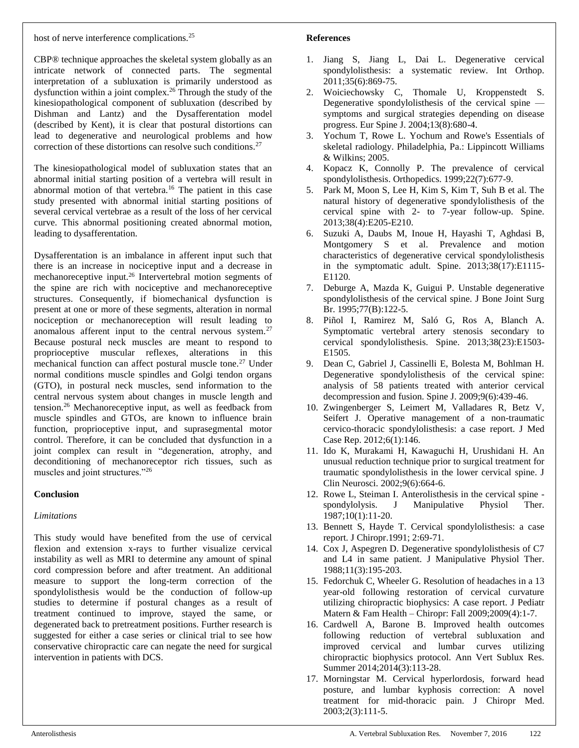CBP® technique approaches the skeletal system globally as an intricate network of connected parts. The segmental interpretation of a subluxation is primarily understood as dysfunction within a joint complex.<sup>26</sup> Through the study of the kinesiopathological component of subluxation (described by Dishman and Lantz) and the Dysafferentation model (described by Kent), it is clear that postural distortions can lead to degenerative and neurological problems and how correction of these distortions can resolve such conditions.<sup>27</sup>

The kinesiopathological model of subluxation states that an abnormal initial starting position of a vertebra will result in abnormal motion of that vertebra.<sup>16</sup> The patient in this case study presented with abnormal initial starting positions of several cervical vertebrae as a result of the loss of her cervical curve. This abnormal positioning created abnormal motion, leading to dysafferentation.

Dysafferentation is an imbalance in afferent input such that there is an increase in nociceptive input and a decrease in mechanoreceptive input.<sup>26</sup> Intervertebral motion segments of the spine are rich with nociceptive and mechanoreceptive structures. Consequently, if biomechanical dysfunction is present at one or more of these segments, alteration in normal nociception or mechanoreception will result leading to anomalous afferent input to the central nervous system.<sup>27</sup> Because postural neck muscles are meant to respond to proprioceptive muscular reflexes, alterations in this mechanical function can affect postural muscle tone.<sup>27</sup> Under normal conditions muscle spindles and Golgi tendon organs (GTO), in postural neck muscles, send information to the central nervous system about changes in muscle length and tension.<sup>26</sup> Mechanoreceptive input, as well as feedback from muscle spindles and GTOs, are known to influence brain function, proprioceptive input, and suprasegmental motor control. Therefore, it can be concluded that dysfunction in a joint complex can result in "degeneration, atrophy, and deconditioning of mechanoreceptor rich tissues, such as muscles and joint structures."<sup>26</sup>

### **Conclusion**

### *Limitations*

This study would have benefited from the use of cervical flexion and extension x-rays to further visualize cervical instability as well as MRI to determine any amount of spinal cord compression before and after treatment. An additional measure to support the long-term correction of the spondylolisthesis would be the conduction of follow-up studies to determine if postural changes as a result of treatment continued to improve, stayed the same, or degenerated back to pretreatment positions. Further research is suggested for either a case series or clinical trial to see how conservative chiropractic care can negate the need for surgical intervention in patients with DCS.

### **References**

- 1. Jiang S, Jiang L, Dai L. Degenerative cervical spondylolisthesis: a systematic review. Int Orthop. 2011;35(6):869-75.
- 2. Woiciechowsky C, Thomale U, Kroppenstedt S. Degenerative spondylolisthesis of the cervical spine symptoms and surgical strategies depending on disease progress. Eur Spine J. 2004;13(8):680-4.
- 3. Yochum T, Rowe L. Yochum and Rowe's Essentials of skeletal radiology. Philadelphia, Pa.: Lippincott Williams & Wilkins; 2005.
- 4. Kopacz K, Connolly P. The prevalence of cervical spondylolisthesis. Orthopedics. 1999;22(7):677-9.
- 5. Park M, Moon S, Lee H, Kim S, Kim T, Suh B et al. The natural history of degenerative spondylolisthesis of the cervical spine with 2- to 7-year follow-up. Spine. 2013;38(4):E205-E210.
- 6. Suzuki A, Daubs M, Inoue H, Hayashi T, Aghdasi B, Montgomery S et al. Prevalence and motion characteristics of degenerative cervical spondylolisthesis in the symptomatic adult. Spine. 2013;38(17):E1115- E1120.
- 7. Deburge A, Mazda K, Guigui P. Unstable degenerative spondylolisthesis of the cervical spine. J Bone Joint Surg Br. 1995;77(B):122-5.
- 8. Piñol I, Ramirez M, Saló G, Ros A, Blanch A. Symptomatic vertebral artery stenosis secondary to cervical spondylolisthesis. Spine. 2013;38(23):E1503- E1505.
- 9. Dean C, Gabriel J, Cassinelli E, Bolesta M, Bohlman H. Degenerative spondylolisthesis of the cervical spine: analysis of 58 patients treated with anterior cervical decompression and fusion. Spine J. 2009;9(6):439-46.
- 10. Zwingenberger S, Leimert M, Valladares R, Betz V, Seifert J. Operative management of a non-traumatic cervico-thoracic spondylolisthesis: a case report. J Med Case Rep. 2012;6(1):146.
- 11. Ido K, Murakami H, Kawaguchi H, Urushidani H. An unusual reduction technique prior to surgical treatment for traumatic spondylolisthesis in the lower cervical spine. J Clin Neurosci. 2002;9(6):664-6.
- 12. Rowe L, Steiman I. Anterolisthesis in the cervical spine spondylolysis. J Manipulative Physiol Ther. 1987;10(1):11-20.
- 13. Bennett S, Hayde T. Cervical spondylolisthesis: a case report. J Chiropr.1991; 2:69-71.
- 14. Cox J, Aspegren D. Degenerative spondylolisthesis of C7 and L4 in same patient. J Manipulative Physiol Ther. 1988;11(3):195-203.
- 15. Fedorchuk C, Wheeler G. Resolution of headaches in a 13 year-old following restoration of cervical curvature utilizing chiropractic biophysics: A case report. J Pediatr Matern & Fam Health – Chiropr: Fall 2009;2009(4):1-7.
- 16. Cardwell A, Barone B. Improved health outcomes following reduction of vertebral subluxation and improved cervical and lumbar curves utilizing chiropractic biophysics protocol. Ann Vert Sublux Res. Summer 2014;2014(3):113-28.
- 17. Morningstar M. Cervical hyperlordosis, forward head posture, and lumbar kyphosis correction: A novel treatment for mid-thoracic pain. J Chiropr Med. 2003;2(3):111-5.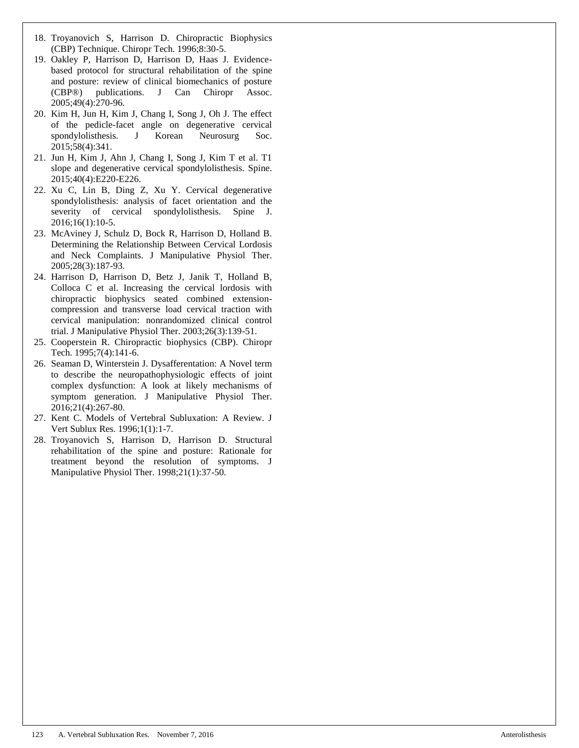- 18. Troyanovich S, Harrison D. Chiropractic Biophysics (CBP) Technique. Chiropr Tech. 1996;8:30-5.
- 19. Oakley P, Harrison D, Harrison D, Haas J. Evidencebased protocol for structural rehabilitation of the spine and posture: review of clinical biomechanics of posture (CBP®) publications. J Can Chiropr Assoc. 2005;49(4):270-96.
- 20. Kim H, Jun H, Kim J, Chang I, Song J, Oh J. The effect of the pedicle-facet angle on degenerative cervical spondylolisthesis. J Korean Neurosurg Soc. 2015;58(4):341.
- 21. Jun H, Kim J, Ahn J, Chang I, Song J, Kim T et al. T1 slope and degenerative cervical spondylolisthesis. Spine. 2015;40(4):E220-E226.
- 22. Xu C, Lin B, Ding Z, Xu Y. Cervical degenerative spondylolisthesis: analysis of facet orientation and the severity of cervical spondylolisthesis. Spine J. 2016;16(1):10-5.
- 23. McAviney J, Schulz D, Bock R, Harrison D, Holland B. Determining the Relationship Between Cervical Lordosis and Neck Complaints. J Manipulative Physiol Ther. 2005;28(3):187-93.
- 24. Harrison D, Harrison D, Betz J, Janik T, Holland B, Colloca C et al. Increasing the cervical lordosis with chiropractic biophysics seated combined extensioncompression and transverse load cervical traction with cervical manipulation: nonrandomized clinical control trial. J Manipulative Physiol Ther. 2003;26(3):139-51.
- 25. Cooperstein R. Chiropractic biophysics (CBP). Chiropr Tech. 1995;7(4):141-6.
- 26. Seaman D, Winterstein J. Dysafferentation: A Novel term to describe the neuropathophysiologic effects of joint complex dysfunction: A look at likely mechanisms of symptom generation. J Manipulative Physiol Ther. 2016;21(4):267-80.
- 27. Kent C. Models of Vertebral Subluxation: A Review. J Vert Sublux Res. 1996;1(1):1-7.
- 28. Troyanovich S, Harrison D, Harrison D. Structural rehabilitation of the spine and posture: Rationale for treatment beyond the resolution of symptoms. J Manipulative Physiol Ther. 1998;21(1):37-50.